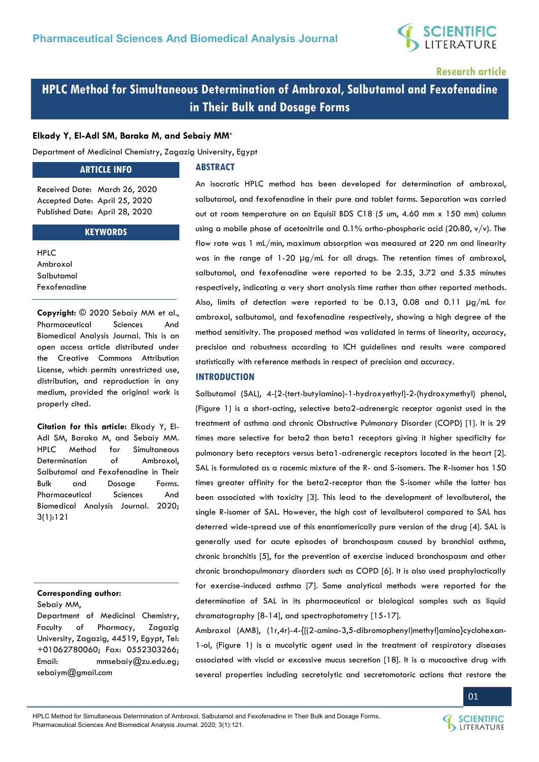

**Research article** 

**HPLC Method for Simultaneous Determination of Ambroxol, Salbutamol and Fexofenadine in Their Bulk and Dosage Forms** 

#### **Elkady Y, El-Adl SM, Baraka M, and Sebaiy MM\***

Department of Medicinal Chemistry, Zagazig University, Egypt

#### **ARTICLE INFO**

### **ABSTRACT**

Received Date: March 26, 2020 Accepted Date: April 25, 2020 Published Date: April 28, 2020

#### **KEYWORDS**

HPLC Ambroxol Salbutamol Fexofenadine

**Copyright:** © 2020 Sebaiy MM et al., Pharmaceutical Sciences And Biomedical Analysis Journal. This is an open access article distributed under the Creative Commons Attribution License, which permits unrestricted use, distribution, and reproduction in any medium, provided the original work is properly cited.

**Citation for this article:** Elkady Y, El-Adl SM, Baraka M, and Sebaiy MM. HPLC Method for Simultaneous Determination of Ambroxol, Salbutamol and Fexofenadine in Their Bulk and Dosage Forms. Pharmaceutical Sciences And Biomedical Analysis Journal. 2020; 3(1):121

#### **Corresponding author:**

Sebaiy MM,

Department of Medicinal Chemistry, Faculty of Pharmacy, Zagazig University, Zagazig, 44519, Egypt, Tel: +01062780060; Fax: 0552303266; Email: [mmsebaiy@zu.edu.eg;](mailto:mmsebaiy@zu.edu.eg) [sebaiym@gmail.com](mailto:sebaiym@gmail.com) 

An isocratic HPLC method has been developed for determination of ambroxol, salbutamol, and fexofenadine in their pure and tablet forms. Separation was carried out at room temperature on an Equisil BDS C18 (5 um, 4.60 mm x 150 mm) column using a mobile phase of acetonitrile and  $0.1\%$  ortho-phosphoric acid (20:80,  $v/v$ ). The flow rate was 1 mL/min, maximum absorption was measured at 220 nm and linearity was in the range of 1-20 µg/mL for all drugs. The retention times of ambroxol, salbutamol, and fexofenadine were reported to be 2.35, 3.72 and 5.35 minutes respectively, indicating a very short analysis time rather than other reported methods. Also, limits of detection were reported to be 0.13, 0.08 and 0.11 µg/mL for ambroxol, salbutamol, and fexofenadine respectively, showing a high degree of the method sensitivity. The proposed method was validated in terms of linearity, accuracy, precision and robustness according to ICH guidelines and results were compared statistically with reference methods in respect of precision and accuracy.

#### **INTRODUCTION**

Salbutamol (SAL), 4-[2-(tert-butylamino)-1-hydroxyethyl]-2-(hydroxymethyl) phenol, (Figure 1) is a short-acting, selective beta2-adrenergic receptor agonist used in the treatment of asthma and chronic Obstructive Pulmonary Disorder (COPD) [1]. It is 29 times more selective for beta2 than beta1 receptors giving it higher specificity for pulmonary beta receptors versus beta1-adrenergic receptors located in the heart [2]. SAL is formulated as a racemic mixture of the R- and S-isomers. The R-isomer has 150 times greater affinity for the beta2-receptor than the S-isomer while the latter has been associated with toxicity [3]. This lead to the development of levalbuterol, the single R-isomer of SAL. However, the high cost of levalbuterol compared to SAL has deterred wide-spread use of this enantiomerically pure version of the drug [4]. SAL is generally used for acute episodes of bronchospasm caused by bronchial asthma, chronic bronchitis [5], for the prevention of exercise induced bronchospasm and other chronic bronchopulmonary disorders such as COPD [6]. It is also used prophylactically for exercise-induced asthma [7]. Some analytical methods were reported for the determination of SAL in its pharmaceutical or biological samples such as liquid chromatography [8-14], and spectrophotometry [15-17].

Ambroxol (AMB), (1r,4r)-4-{[(2-amino-3,5-dibromophenyl)methyl]amino}cyclohexan-1-ol, (Figure 1) is a mucolytic agent used in the treatment of respiratory diseases associated with viscid or excessive mucus secretion [18]. It is a mucoactive drug with several properties including secretolytic and secretomotoric actions that restore the



**SCIENTIFIC** LITERATURE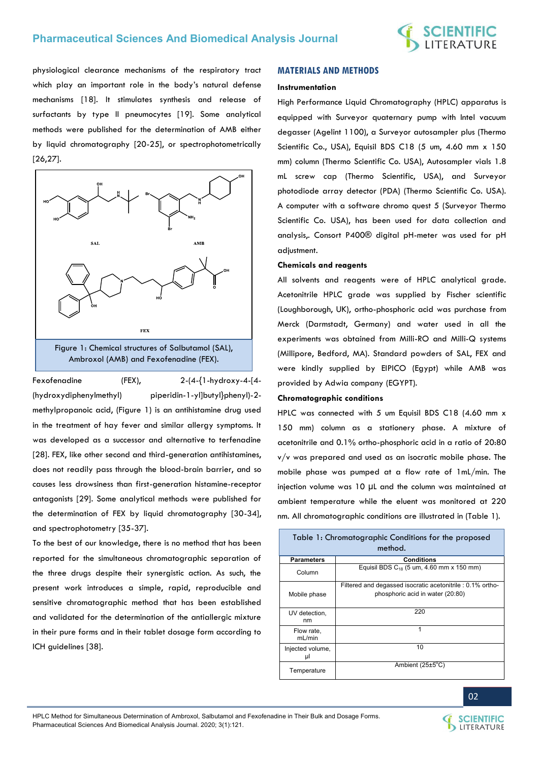

physiological clearance mechanisms of the respiratory tract which play an important role in the body's natural defense mechanisms [18]. It stimulates synthesis and release of surfactants by type II pneumocytes [19]. Some analytical methods were published for the determination of AMB either by liquid chromatography [20-25], or spectrophotometrically [26,27].



Fexofenadine (FEX), 2-(4-{1-hydroxy-4-[4- (hydroxydiphenylmethyl) piperidin-1-yl]butyl}phenyl)-2 methylpropanoic acid, (Figure 1) is an antihistamine drug used in the treatment of hay fever and similar allergy symptoms. It was developed as a successor and alternative to terfenadine [28]. FEX, like other second and third-generation antihistamines, does not readily pass through the blood-brain barrier, and so causes less drowsiness than first-generation histamine-receptor antagonists [29]. Some analytical methods were published for the determination of FEX by liquid chromatography [30-34], and spectrophotometry [35-37].

To the best of our knowledge, there is no method that has been reported for the simultaneous chromatographic separation of the three drugs despite their synergistic action. As such, the present work introduces a simple, rapid, reproducible and sensitive chromatographic method that has been established and validated for the determination of the antiallergic mixture in their pure forms and in their tablet dosage form according to ICH guidelines [38].

#### **MATERIALS AND METHODS**

#### **Instrumentation**

High Performance Liquid Chromatography (HPLC) apparatus is equipped with Surveyor quaternary pump with Intel vacuum degasser (Agelint 1100), a Surveyor autosampler plus (Thermo Scientific Co., USA), Equisil BDS C18 (5 um, 4.60 mm x 150 mm) column (Thermo Scientific Co. USA), Autosampler vials 1.8 mL screw cap (Thermo Scientific, USA), and Surveyor photodiode array detector (PDA) (Thermo Scientific Co. USA). A computer with a software chromo quest 5 (Surveyor Thermo Scientific Co. USA), has been used for data collection and analysis,. Consort P400® digital pH-meter was used for pH adjustment.

#### **Chemicals and reagents**

All solvents and reagents were of HPLC analytical grade. Acetonitrile HPLC grade was supplied by Fischer scientific (Loughborough, UK), ortho-phosphoric acid was purchase from Merck (Darmstadt, Germany) and water used in all the experiments was obtained from Milli-RO and Milli-Q systems (Millipore, Bedford, MA). Standard powders of SAL, FEX and were kindly supplied by EIPICO (Egypt) while AMB was provided by Adwia company (EGYPT).

#### **Chromatographic conditions**

HPLC was connected with 5 um Equisil BDS C18 (4.60 mm x 150 mm) column as a stationery phase. A mixture of acetonitrile and 0.1% ortho-phosphoric acid in a ratio of 20:80 v/v was prepared and used as an isocratic mobile phase. The mobile phase was pumped at a flow rate of 1mL/min. The injection volume was 10 µL and the column was maintained at ambient temperature while the eluent was monitored at 220 nm. All chromatographic conditions are illustrated in (Table 1).

| Table 1: Chromatographic Conditions for the proposed<br>method. |                                                                                               |  |  |  |  |  |  |  |
|-----------------------------------------------------------------|-----------------------------------------------------------------------------------------------|--|--|--|--|--|--|--|
| <b>Parameters</b>                                               | <b>Conditions</b>                                                                             |  |  |  |  |  |  |  |
| Column                                                          | Equisil BDS $C_{18}$ (5 um, 4.60 mm x 150 mm)                                                 |  |  |  |  |  |  |  |
| Mobile phase                                                    | Filtered and degassed isocratic acetonitrile: 0.1% ortho-<br>phosphoric acid in water (20:80) |  |  |  |  |  |  |  |
| UV detection,<br>nm                                             | 220                                                                                           |  |  |  |  |  |  |  |
| Flow rate,<br>mL/min                                            | 1                                                                                             |  |  |  |  |  |  |  |
| Injected volume,<br>μl                                          | 10                                                                                            |  |  |  |  |  |  |  |
| Temperature                                                     | Ambient $(25±5^{\circ}C)$                                                                     |  |  |  |  |  |  |  |



02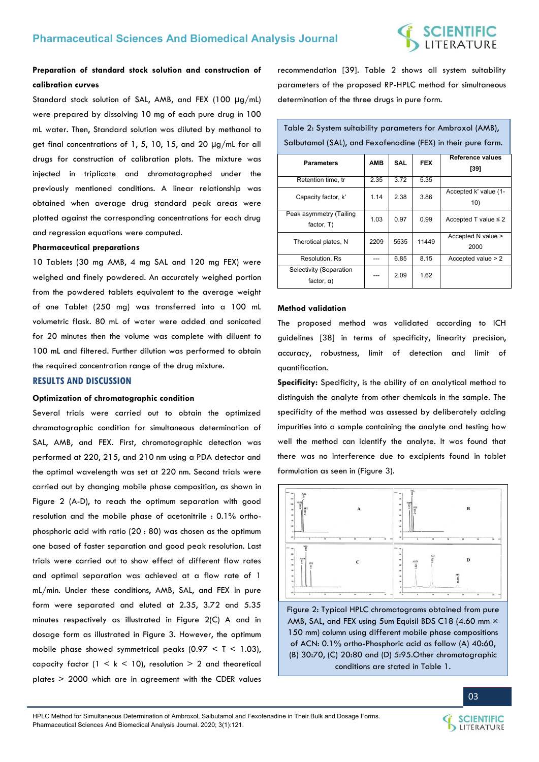# C**IENTIFIC**<br>FERATURE

## **Preparation of standard stock solution and construction of calibration curves**

Standard stock solution of SAL, AMB, and FEX (100 µg/mL) were prepared by dissolving 10 mg of each pure drug in 100 mL water. Then, Standard solution was diluted by methanol to get final concentrations of 1, 5, 10, 15, and 20  $\mu$ g/mL for all drugs for construction of calibration plots. The mixture was injected in triplicate and chromatographed under the previously mentioned conditions. A linear relationship was obtained when average drug standard peak areas were plotted against the corresponding concentrations for each drug and regression equations were computed.

#### **Pharmaceutical preparations**

10 Tablets (30 mg AMB, 4 mg SAL and 120 mg FEX) were weighed and finely powdered. An accurately weighed portion from the powdered tablets equivalent to the average weight of one Tablet (250 mg) was transferred into a 100 mL volumetric flask. 80 mL of water were added and sonicated for 20 minutes then the volume was complete with diluent to 100 mL and filtered. Further dilution was performed to obtain the required concentration range of the drug mixture.

#### **RESULTS AND DISCUSSION**

#### **Optimization of chromatographic condition**

Several trials were carried out to obtain the optimized chromatographic condition for simultaneous determination of SAL, AMB, and FEX. First, chromatographic detection was performed at 220, 215, and 210 nm using a PDA detector and the optimal wavelength was set at 220 nm. Second trials were carried out by changing mobile phase composition, as shown in Figure 2 (A-D), to reach the optimum separation with good resolution and the mobile phase of acetonitrile : 0.1% orthophosphoric acid with ratio (20 : 80) was chosen as the optimum one based of faster separation and good peak resolution. Last trials were carried out to show effect of different flow rates and optimal separation was achieved at a flow rate of 1 mL/min. Under these conditions, AMB, SAL, and FEX in pure form were separated and eluted at 2.35, 3.72 and 5.35 minutes respectively as illustrated in Figure 2(C) A and in dosage form as illustrated in Figure 3. However, the optimum mobile phase showed symmetrical peaks  $(0.97 < T < 1.03)$ , capacity factor  $(1 \le k \le 10)$ , resolution  $> 2$  and theoretical plates > 2000 which are in agreement with the CDER values recommendation [39]. Table 2 shows all system suitability parameters of the proposed RP-HPLC method for simultaneous determination of the three drugs in pure form.

Table 2: System suitability parameters for Ambroxol (AMB),

| Salbutamol (SAL), and Fexofenadine (FEX) in their pure form. |            |            |            |                                   |  |  |  |  |
|--------------------------------------------------------------|------------|------------|------------|-----------------------------------|--|--|--|--|
| <b>Parameters</b>                                            | <b>AMB</b> | <b>SAL</b> | <b>FEX</b> | <b>Reference values</b><br>$[39]$ |  |  |  |  |
| Retention time, tr                                           | 2.35       | 3.72       | 5.35       |                                   |  |  |  |  |
| Capacity factor, k'                                          | 1.14       | 2.38       | 3.86       | Accepted k' value (1-<br>10)      |  |  |  |  |
| Peak asymmetry (Tailing<br>factor, T)                        | 1.03       | 0.97       | 0.99       | Accepted T value $\leq 2$         |  |  |  |  |
| Therotical plates, N                                         | 2209       | 5535       | 11449      | Accepted N value ><br>2000        |  |  |  |  |
| Resolution, Rs                                               | ---        | 6.85       | 8.15       | Accepted value > 2                |  |  |  |  |
| Selectivity (Separation<br>factor, $\alpha$ )                | ---        | 2.09       | 1.62       |                                   |  |  |  |  |

#### **Method validation**

The proposed method was validated according to ICH guidelines [38] in terms of specificity, linearity precision, accuracy, robustness, limit of detection and limit of quantification.

**Specificity:** Specificity, is the ability of an analytical method to distinguish the analyte from other chemicals in the sample. The specificity of the method was assessed by deliberately adding impurities into a sample containing the analyte and testing how well the method can identify the analyte. It was found that there was no interference due to excipients found in tablet formulation as seen in (Figure 3).



Figure 2: Typical HPLC chromatograms obtained from pure AMB, SAL, and FEX using 5um Equisil BDS C18 (4.60 mm  $\times$ 150 mm) column using different mobile phase compositions of ACN: 0.1% ortho-Phosphoric acid as follow (A) 40:60, (B) 30:70, (C) 20:80 and (D) 5:95.Other chromatographic conditions are stated in Table 1.



03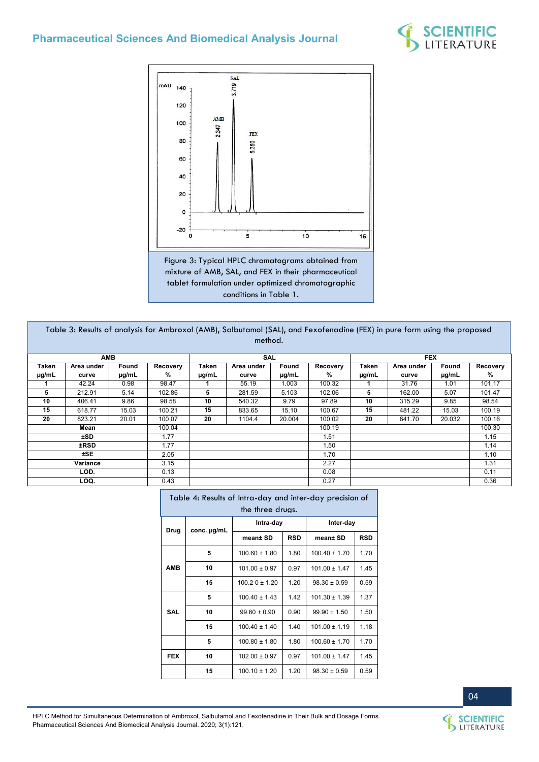



mixture of AMB, SAL, and FEX in their pharmaceutical tablet formulation under optimized chromatographic conditions in Table 1.

| Table 3: Results of analysis for Ambroxol (AMB), Salbutamol (SAL), and Fexofenadine (FEX) in pure form using the proposed<br>method. |            |       |          |       |            |        |          |       |            |        |          |
|--------------------------------------------------------------------------------------------------------------------------------------|------------|-------|----------|-------|------------|--------|----------|-------|------------|--------|----------|
|                                                                                                                                      | AMB        |       |          |       | SAL        |        |          |       | <b>FEX</b> |        |          |
| Taken                                                                                                                                | Area under | Found | Recovery | Taken | Area under | Found  | Recovery | Taken | Area under | Found  | Recovery |
| µg/mL                                                                                                                                | curve      | µg/mL | %        | µg/mL | curve      | µg/mL  | %        | µg/mL | curve      | µg/mL  | %        |
|                                                                                                                                      | 42.24      | 0.98  | 98.47    |       | 55.19      | 1.003  | 100.32   |       | 31.76      | 1.01   | 101.17   |
| 5                                                                                                                                    | 212.91     | 5.14  | 102.86   | 5     | 281.59     | 5.103  | 102.06   | 5     | 162.00     | 5.07   | 101.47   |
| 10                                                                                                                                   | 406.41     | 9.86  | 98.58    | 10    | 540.32     | 9.79   | 97.89    | 10    | 315.29     | 9.85   | 98.54    |
| 15                                                                                                                                   | 618.77     | 15.03 | 100.21   | 15    | 833.65     | 15.10  | 100.67   | 15    | 481.22     | 15.03  | 100.19   |
| 20                                                                                                                                   | 823.21     | 20.01 | 100.07   | 20    | 1104.4     | 20.004 | 100.02   | 20    | 641.70     | 20.032 | 100.16   |
|                                                                                                                                      | Mean       |       | 100.04   |       |            |        | 100.19   |       |            |        | 100.30   |
|                                                                                                                                      | ±SD.       |       | 1.77     |       |            |        | 1.51     |       |            |        | 1.15     |
|                                                                                                                                      | ±RSD       |       | 1.77     |       |            |        | 1.50     |       |            |        | 1.14     |
|                                                                                                                                      | ±SE.       |       | 2.05     |       |            |        | 1.70     |       |            |        | 1.10     |
|                                                                                                                                      | Variance   |       | 3.15     |       |            |        | 2.27     |       |            |        | 1.31     |
|                                                                                                                                      | LOD.       |       | 0.13     |       |            |        | 0.08     |       |            |        | 0.11     |
|                                                                                                                                      | LOQ.       |       | 0.43     |       |            |        | 0.27     |       |            |        | 0.36     |

| Table 4: Results of Intra-day and inter-day precision of<br>the three drugs. |             |                   |            |                   |            |  |  |  |  |
|------------------------------------------------------------------------------|-------------|-------------------|------------|-------------------|------------|--|--|--|--|
| Drug                                                                         | conc. µg/mL | Intra-day         |            | Inter-day         |            |  |  |  |  |
|                                                                              |             | mean± SD          | <b>RSD</b> | mean± SD          | <b>RSD</b> |  |  |  |  |
|                                                                              | 5           | $100.60 \pm 1.80$ | 1.80       | $100.40 \pm 1.70$ | 1.70       |  |  |  |  |
| <b>AMB</b>                                                                   | 10          | $101.00 \pm 0.97$ | 0.97       | $101.00 \pm 1.47$ | 1.45       |  |  |  |  |
|                                                                              | 15          | $100.20 \pm 1.20$ | 1.20       | $98.30 \pm 0.59$  | 0.59       |  |  |  |  |
|                                                                              | 5           | $100.40 \pm 1.43$ | 1.42       | $101.30 \pm 1.39$ | 1.37       |  |  |  |  |
| <b>SAL</b>                                                                   | 10          | $99.60 \pm 0.90$  | 0.90       | $99.90 \pm 1.50$  | 1.50       |  |  |  |  |
|                                                                              | 15          | $100.40 \pm 1.40$ | 1.40       | $101.00 \pm 1.19$ | 1.18       |  |  |  |  |
|                                                                              | 5           | $100.80 \pm 1.80$ | 1.80       | $100.60 \pm 1.70$ | 1.70       |  |  |  |  |
| <b>FEX</b>                                                                   | 10          | $102.00 \pm 0.97$ | 0.97       | $101.00 \pm 1.47$ | 1.45       |  |  |  |  |
|                                                                              | 15          | $100.10 \pm 1.20$ | 1.20       | $98.30 \pm 0.59$  | 0.59       |  |  |  |  |

HPLC Method for Simultaneous Determination of Ambroxol, Salbutamol and Fexofenadine in Their Bulk and Dosage Forms. Pharmaceutical Sciences And Biomedical Analysis Journal. 2020; 3(1):121.

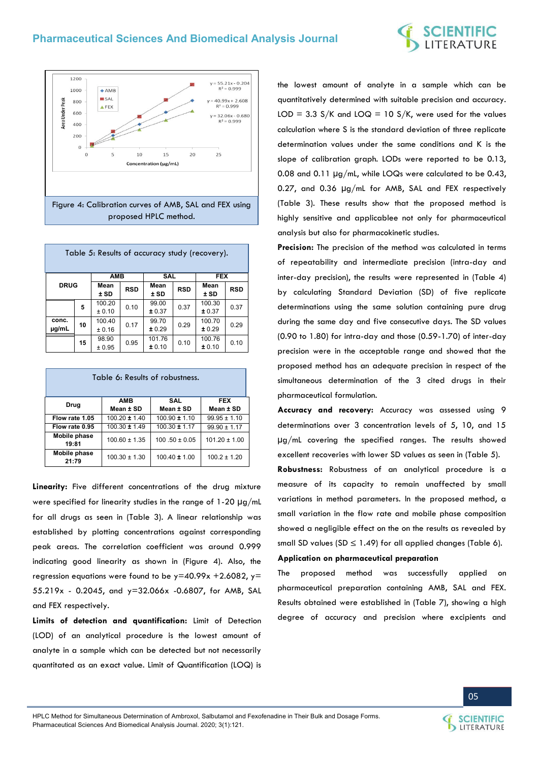



| Table 5: Results of accuracy study (recovery). |    |                  |            |                              |      |                  |            |  |  |
|------------------------------------------------|----|------------------|------------|------------------------------|------|------------------|------------|--|--|
|                                                |    | <b>AMB</b>       |            | <b>SAL</b>                   |      | <b>FEX</b>       |            |  |  |
| <b>DRUG</b>                                    |    | Mean<br>$±$ SD   | <b>RSD</b> | Mean<br><b>RSD</b><br>$±$ SD |      | Mean<br>$±$ SD   | <b>RSD</b> |  |  |
|                                                | 5  | 100.20<br>± 0.10 | 0.10       | 99.00<br>± 0.37              | 0.37 | 100.30<br>± 0.37 | 0.37       |  |  |
| conc.<br>µg/mL                                 | 10 | 100.40<br>± 0.16 | 0.17       | 99.70<br>± 0.29              | 0.29 | 100.70<br>± 0.29 | 0.29       |  |  |
|                                                | 15 | 98.90<br>± 0.95  | 0.95       | 101.76<br>± 0.10             | 0.10 | 100.76<br>± 0.10 | 0.10       |  |  |

| Table 6: Results of robustness. |                                 |                   |                   |  |  |  |  |  |  |
|---------------------------------|---------------------------------|-------------------|-------------------|--|--|--|--|--|--|
| Drug                            | <b>FEX</b><br><b>AMB</b><br>SAL |                   |                   |  |  |  |  |  |  |
|                                 | Mean ± SD                       | Mean ± SD         |                   |  |  |  |  |  |  |
| Flow rate 1.05                  | $100.20 \pm 1.40$               | $100.90 \pm 1.10$ | $99.95 \pm 1.10$  |  |  |  |  |  |  |
| Flow rate 0.95                  | $100.30 \pm 1.49$               | $100.30 \pm 1.17$ | $99.90 \pm 1.17$  |  |  |  |  |  |  |
| Mobile phase<br>19:81           | $100.60 \pm 1.35$               | $100.50 \pm 0.05$ | $101.20 \pm 1.00$ |  |  |  |  |  |  |
| Mobile phase<br>21:79           | $100.30 \pm 1.30$               | $100.40 \pm 1.00$ | $100.2 \pm 1.20$  |  |  |  |  |  |  |

**Linearity:** Five different concentrations of the drug mixture were specified for linearity studies in the range of 1-20 μg/mL for all drugs as seen in (Table 3). A linear relationship was established by plotting concentrations against corresponding peak areas. The correlation coefficient was around 0.999 indicating good linearity as shown in (Figure 4). Also, the regression equations were found to be  $y=40.99x + 2.6082$ ,  $y=$ 55.219x - 0.2045, and y=32.066x -0.6807, for AMB, SAL and FEX respectively.

**Limits of detection and quantification:** Limit of Detection (LOD) of an analytical procedure is the lowest amount of analyte in a sample which can be detected but not necessarily quantitated as an exact value. Limit of Quantification (LOQ) is the lowest amount of analyte in a sample which can be quantitatively determined with suitable precision and accuracy. LOD =  $3.3$  S/K and LOQ = 10 S/K, were used for the values calculation where S is the standard deviation of three replicate determination values under the same conditions and K is the slope of calibration graph. LODs were reported to be 0.13, 0.08 and 0.11 µg/mL, while LOQs were calculated to be 0.43, 0.27, and 0.36 µg/mL for AMB, SAL and FEX respectively (Table 3). These results show that the proposed method is highly sensitive and applicablee not only for pharmaceutical analysis but also for pharmacokinetic studies.

**Precision:** The precision of the method was calculated in terms of repeatability and intermediate precision (intra-day and inter-day precision), the results were represented in (Table 4) by calculating Standard Deviation (SD) of five replicate determinations using the same solution containing pure drug during the same day and five consecutive days. The SD values (0.90 to 1.80) for intra-day and those (0.59-1.70) of inter-day precision were in the acceptable range and showed that the proposed method has an adequate precision in respect of the simultaneous determination of the 3 cited drugs in their pharmaceutical formulation.

**Accuracy and recovery:** Accuracy was assessed using 9 determinations over 3 concentration levels of 5, 10, and 15 µg/mL covering the specified ranges. The results showed excellent recoveries with lower SD values as seen in (Table 5).

**Robustness:** Robustness of an analytical procedure is a measure of its capacity to remain unaffected by small variations in method parameters. In the proposed method, a small variation in the flow rate and mobile phase composition showed a negligible effect on the on the results as revealed by small SD values (SD  $\leq$  1.49) for all applied changes (Table 6).

#### **Application on pharmaceutical preparation**

The proposed method was successfully applied on pharmaceutical preparation containing AMB, SAL and FEX. Results obtained were established in (Table 7), showing a high degree of accuracy and precision where excipients and

**SCIENTIFIC** LITERATURE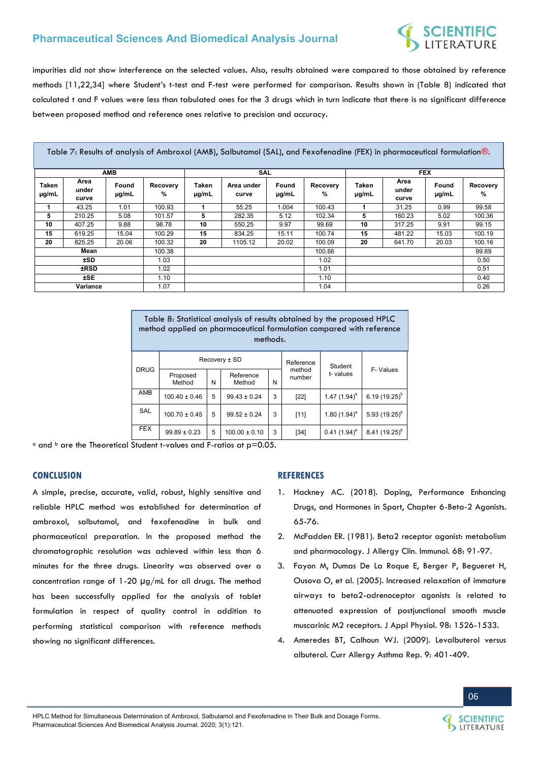# **SCIENTIFIC**<br>LITERATURE

impurities did not show interference on the selected values. Also, results obtained were compared to those obtained by reference methods [11,22,34] where Student's t-test and F-test were performed for comparison. Results shown in (Table 8) indicated that calculated t and F values were less than tabulated ones for the 3 drugs which in turn indicate that there is no significant difference between proposed method and reference ones relative to precision and accuracy.

Table 7: Results of analysis of Ambroxol (AMB), Salbutamol (SAL), and Fexofenadine (FEX) in pharmaceutical formulation®.

|                |                        | <b>AMB</b>          |               | SAL                 |                     |                |               | <b>FEX</b>     |                        |                |                  |
|----------------|------------------------|---------------------|---------------|---------------------|---------------------|----------------|---------------|----------------|------------------------|----------------|------------------|
| Taken<br>µg/mL | Area<br>under<br>curve | Found<br>$\mu$ g/mL | Recovery<br>% | Taken<br>$\mu$ g/mL | Area under<br>curve | Found<br>µg/mL | Recovery<br>% | Taken<br>µg/mL | Area<br>under<br>curve | Found<br>µg/mL | Recovery<br>$\%$ |
|                | 43.25                  | 1.01                | 100.93        |                     | 55.25               | 1.004          | 100.43        |                | 31.25                  | 0.99           | 99.58            |
| 5              | 210.25                 | 5.08                | 101.57        | 5                   | 282.35              | 5.12           | 102.34        | 5              | 160.23                 | 5.02           | 100.36           |
| 10             | 407.25                 | 9.88                | 98.78         | 10                  | 550.25              | 9.97           | 99.69         | 10             | 317.25                 | 9.91           | 99.15            |
| 15             | 619.25                 | 15.04               | 100.29        | 15                  | 834.25              | 15.11          | 100.74        | 15             | 481.22                 | 15.03          | 100.19           |
| 20             | 825.25                 | 20.06               | 100.32        | 20                  | 1105.12             | 20.02          | 100.09        | 20             | 641.70                 | 20.03          | 100.16           |
|                | Mean                   |                     | 100.38        |                     |                     |                | 100.66        |                |                        |                | 99.89            |
|                | ±SD.                   |                     | 1.03          |                     |                     |                | 1.02          |                |                        |                | 0.50             |
|                | <b>±RSD</b>            |                     | 1.02          |                     |                     |                | 1.01          |                |                        |                | 0.51             |
|                | ±SE                    |                     | 1.10          |                     |                     |                | 1.10          |                |                        |                | 0.40             |
|                | Variance               |                     | 1.07          |                     |                     |                | 1.04          |                |                        |                | 0.26             |

| Table 8: Statistical analysis of results obtained by the proposed HPLC<br>method applied on pharmaceutical formulation compared with reference<br>methods. |                    |   |                     |   |                  |                 |                   |  |  |
|------------------------------------------------------------------------------------------------------------------------------------------------------------|--------------------|---|---------------------|---|------------------|-----------------|-------------------|--|--|
| Recovery ± SD<br>Reference<br>Student                                                                                                                      |                    |   |                     |   |                  |                 |                   |  |  |
| <b>DRUG</b>                                                                                                                                                | Proposed<br>Method | N | Reference<br>Method | N | method<br>number | t-values        | F-Values          |  |  |
| AMB                                                                                                                                                        | $100.40 \pm 0.46$  | 5 | $99.43 \pm 0.24$    | 3 | [22]             | 1.47 $(1.94)^a$ | $6.19(19.25)^{b}$ |  |  |
| <b>SAL</b>                                                                                                                                                 | $100.70 \pm 0.45$  | 5 | $99.52 \pm 0.24$    | 3 | [11]             | 1.80 $(1.94)^a$ | 5.93 $(19.25)^b$  |  |  |
| <b>FEX</b>                                                                                                                                                 | $99.89 \pm 0.23$   | 5 | $100.00 \pm 0.10$   | 3 | $[34]$           | $0.41(1.94)^a$  | $8.41(19.25)^{b}$ |  |  |

 $\alpha$  and  $\beta$  are the Theoretical Student t-values and F-ratios at p=0.05.

#### **CONCLUSION**

A simple, precise, accurate, valid, robust, highly sensitive and reliable HPLC method was established for determination of ambroxol, salbutamol, and fexofenadine in bulk and pharmaceutical preparation. In the proposed method the chromatographic resolution was achieved within less than 6 minutes for the three drugs. Linearity was observed over a concentration range of 1-20 μg/mL for all drugs. The method has been successfully applied for the analysis of tablet formulation in respect of quality control in addition to performing statistical comparison with reference methods showing no significant differences.

#### **REFERENCES**

- 1. [Hackney AC. \(2018\). Doping, Performance Enhancing](https://doi.org/10.1016/B978-0-12-813442-9.00006-7)  [Drugs, and Hormones in Sport, Chapter 6-Beta-2 Agonists.](https://doi.org/10.1016/B978-0-12-813442-9.00006-7)  [65-76.](https://doi.org/10.1016/B978-0-12-813442-9.00006-7)
- 2. [McFadden ER. \(1981\). Beta2 receptor agonist: metabolism](https://www.jacionline.org/article/0091-6749(81)90164-0/pdf)  [and pharmacology. J Allergy Clin. Immunol. 68: 91-97.](https://www.jacionline.org/article/0091-6749(81)90164-0/pdf)
- 3. [Fayon M, Dumas De La Roque E, Berger P, Begueret H,](https://www.ncbi.nlm.nih.gov/pubmed/15579574)  [Ousova O, et al. \(2005\). Increased relaxation of immature](https://www.ncbi.nlm.nih.gov/pubmed/15579574)  [airways to beta2-adrenoceptor agonists is related to](https://www.ncbi.nlm.nih.gov/pubmed/15579574)  [attenuated expression of postjunctional smooth muscle](https://www.ncbi.nlm.nih.gov/pubmed/15579574)  [muscarinic M2 receptors. J Appl Physiol. 98: 1526-1533.](https://www.ncbi.nlm.nih.gov/pubmed/15579574)
- 4. [Ameredes BT, Calhoun WJ. \(2009\). Levalbuterol versus](https://rd.springer.com/article/10.1007/s11882-009-0058-6)  [albuterol. Curr Allergy Asthma Rep. 9: 401-409.](https://rd.springer.com/article/10.1007/s11882-009-0058-6)

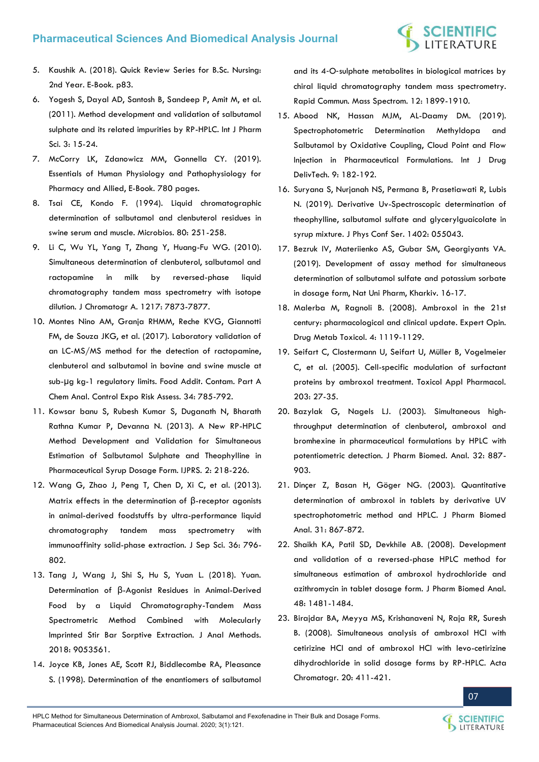- 5. [Kaushik A. \(2018\). Quick Review Series for B.Sc. Nursing:](https://www.amazon.in/Quick-Review-B-Sc-Nursing-Book-ebook/dp/B07GVKWB63)  [2nd Year. E-Book. p83.](https://www.amazon.in/Quick-Review-B-Sc-Nursing-Book-ebook/dp/B07GVKWB63)
- 6. [Yogesh S, Dayal AD, Santosh B, Sandeep P, Amit M, et al.](https://www.researchgate.net/publication/281999892_METHOD_DEVELOPMENT_AND_VALIDATION_OF_SALBUTAMOL_SULPHATE_AND_ITS_RELATED_IMPURITIES_BY_RP-HPLC)  [\(2011\). Method development and validation of salbutamol](https://www.researchgate.net/publication/281999892_METHOD_DEVELOPMENT_AND_VALIDATION_OF_SALBUTAMOL_SULPHATE_AND_ITS_RELATED_IMPURITIES_BY_RP-HPLC)  [sulphate and its related impurities by RP-HPLC. Int J Pharm](https://www.researchgate.net/publication/281999892_METHOD_DEVELOPMENT_AND_VALIDATION_OF_SALBUTAMOL_SULPHATE_AND_ITS_RELATED_IMPURITIES_BY_RP-HPLC)  [Sci. 3: 15-24.](https://www.researchgate.net/publication/281999892_METHOD_DEVELOPMENT_AND_VALIDATION_OF_SALBUTAMOL_SULPHATE_AND_ITS_RELATED_IMPURITIES_BY_RP-HPLC)
- 7. [McCorry LK, Zdanowicz MM, Gonnella CY. \(2019\).](https://www.routledge.com/Essentials-of-Human-Physiology-and-Pathophysiology-for-Pharmacy-and-Allied/McCorry-Zdanowicz-Gonnella/p/book/9780367000486)  [Essentials of Human Physiology and Pathophysiology for](https://www.routledge.com/Essentials-of-Human-Physiology-and-Pathophysiology-for-Pharmacy-and-Allied/McCorry-Zdanowicz-Gonnella/p/book/9780367000486)  [Pharmacy and Allied, E-Book. 780 pages.](https://www.routledge.com/Essentials-of-Human-Physiology-and-Pathophysiology-for-Pharmacy-and-Allied/McCorry-Zdanowicz-Gonnella/p/book/9780367000486)
- 8. [Tsai CE, Kondo F. \(1994\). Liquid chromatographic](https://www.ncbi.nlm.nih.gov/pubmed/7700164)  [determination of salbutamol and clenbuterol residues in](https://www.ncbi.nlm.nih.gov/pubmed/7700164)  [swine serum and muscle. Microbios. 80: 251-258.](https://www.ncbi.nlm.nih.gov/pubmed/7700164)
- 9. [Li C, Wu YL, Yang T, Zhang Y, Huang-Fu WG. \(2010\).](https://www.ncbi.nlm.nih.gov/pubmed/21067758)  [Simultaneous determination of clenbuterol, salbutamol and](https://www.ncbi.nlm.nih.gov/pubmed/21067758)  [ractopamine in milk by reversed-phase liquid](https://www.ncbi.nlm.nih.gov/pubmed/21067758)  [chromatography tandem mass spectrometry with isotope](https://www.ncbi.nlm.nih.gov/pubmed/21067758)  [dilution. J Chromatogr A. 1217: 7873-7877.](https://www.ncbi.nlm.nih.gov/pubmed/21067758)
- 10. [Montes Nino AM, Granja RHMM, Reche KVG, Giannotti](https://www.ncbi.nlm.nih.gov/pubmed/28278125)  [FM, de Souza JKG, et al. \(2017\). Laboratory validation of](https://www.ncbi.nlm.nih.gov/pubmed/28278125)  [an LC-MS/MS method for the detection of ractopamine,](https://www.ncbi.nlm.nih.gov/pubmed/28278125)  [clenbuterol and salbutamol in bovine and swine muscle at](https://www.ncbi.nlm.nih.gov/pubmed/28278125)  sub-μ[g kg-1 regulatory limits. Food Addit. Contam. Part A](https://www.ncbi.nlm.nih.gov/pubmed/28278125)  [Chem Anal. Control Expo Risk Assess. 34: 785-792.](https://www.ncbi.nlm.nih.gov/pubmed/28278125)
- 11. [Kowsar banu S, Rubesh Kumar S, Duganath N, Bharath](https://www.ijprs.com/article/a-new-rp-hplc-method-development-and-validation-for-simultaneous-estimation-of-salbutamol-sulphate-and-theophylline-in-pharmaceutical-syrup-dosage-form/)  [Rathna Kumar P, Devanna N. \(2013\). A New RP-HPLC](https://www.ijprs.com/article/a-new-rp-hplc-method-development-and-validation-for-simultaneous-estimation-of-salbutamol-sulphate-and-theophylline-in-pharmaceutical-syrup-dosage-form/)  [Method Development and Validation for Simultaneous](https://www.ijprs.com/article/a-new-rp-hplc-method-development-and-validation-for-simultaneous-estimation-of-salbutamol-sulphate-and-theophylline-in-pharmaceutical-syrup-dosage-form/)  [Estimation of Salbutamol Sulphate and Theophylline in](https://www.ijprs.com/article/a-new-rp-hplc-method-development-and-validation-for-simultaneous-estimation-of-salbutamol-sulphate-and-theophylline-in-pharmaceutical-syrup-dosage-form/)  [Pharmaceutical Syrup Dosage Form. IJPRS. 2: 218-226.](https://www.ijprs.com/article/a-new-rp-hplc-method-development-and-validation-for-simultaneous-estimation-of-salbutamol-sulphate-and-theophylline-in-pharmaceutical-syrup-dosage-form/)
- 12. [Wang G, Zhao J, Peng T, Chen D, Xi C, et al. \(2013\).](https://www.ncbi.nlm.nih.gov/pubmed/23341043)  [Matrix effects in the determination of](https://www.ncbi.nlm.nih.gov/pubmed/23341043) β-receptor agonists [in animal-derived foodstuffs by ultra-performance liquid](https://www.ncbi.nlm.nih.gov/pubmed/23341043)  [chromatography tandem mass spectrometry with](https://www.ncbi.nlm.nih.gov/pubmed/23341043)  [immunoaffinity solid-phase extraction. J Sep Sci. 36: 796-](https://www.ncbi.nlm.nih.gov/pubmed/23341043) [802.](https://www.ncbi.nlm.nih.gov/pubmed/23341043)
- 13. [Tang J, Wang J, Shi S, Hu S, Yuan L. \(2018\). Yuan.](https://www.ncbi.nlm.nih.gov/pubmed/30046508)  Determination of β[-Agonist Residues in Animal-Derived](https://www.ncbi.nlm.nih.gov/pubmed/30046508)  [Food by a Liquid Chromatography-Tandem Mass](https://www.ncbi.nlm.nih.gov/pubmed/30046508)  [Spectrometric Method Combined with Molecularly](https://www.ncbi.nlm.nih.gov/pubmed/30046508)  [Imprinted Stir Bar Sorptive Extraction. J Anal Methods.](https://www.ncbi.nlm.nih.gov/pubmed/30046508)  [2018: 9053561.](https://www.ncbi.nlm.nih.gov/pubmed/30046508)
- 14. [Joyce KB, Jones AE, Scott RJ, Biddlecombe RA, Pleasance](https://www.ncbi.nlm.nih.gov/pubmed/9842741)  [S. \(1998\). Determination of the enantiomers of salbutamol](https://www.ncbi.nlm.nih.gov/pubmed/9842741)

and its 4‐O‐[sulphate metabolites in biological matrices by](https://www.ncbi.nlm.nih.gov/pubmed/9842741)  [chiral liquid chromatography tandem mass spectrometry.](https://www.ncbi.nlm.nih.gov/pubmed/9842741)  [Rapid Commun. Mass Spectrom. 12: 1899-1910.](https://www.ncbi.nlm.nih.gov/pubmed/9842741) 

- 15. [Abood NK, Hassan MJM, AL-Daamy DM. \(2019\).](https://ijddt.com/index.php/IJDDT/article/view/112)  [Spectrophotometric Determination Methyldopa and](https://ijddt.com/index.php/IJDDT/article/view/112)  [Salbutamol by Oxidative Coupling, Cloud Point and Flow](https://ijddt.com/index.php/IJDDT/article/view/112)  [Injection in Pharmaceutical Formulations. Int J Drug](https://ijddt.com/index.php/IJDDT/article/view/112)  [DelivTech. 9: 182-192.](https://ijddt.com/index.php/IJDDT/article/view/112)
- 16. [Suryana S, Nurjanah NS, Permana B, Prasetiawati R, Lubis](https://iopscience.iop.org/article/10.1088/1742-6596/1402/5/055043/meta)  [N. \(2019\). Derivative Uv-Spectroscopic determination of](https://iopscience.iop.org/article/10.1088/1742-6596/1402/5/055043/meta)  [theophylline, salbutamol sulfate and glycerylguaicolate in](https://iopscience.iop.org/article/10.1088/1742-6596/1402/5/055043/meta)  [syrup mixture. J Phys Conf Ser. 1402: 055043.](https://iopscience.iop.org/article/10.1088/1742-6596/1402/5/055043/meta)
- 17. [Bezruk IV, Materiienko AS, Gubar SM, Georgiyants VA.](http://dspace.nuph.edu.ua/bitstream/123456789/19563/1/16-17.pdf)  [\(2019\). Development of assay method for simultaneous](http://dspace.nuph.edu.ua/bitstream/123456789/19563/1/16-17.pdf)  [determination of salbutamol sulfate and potassium sorbate](http://dspace.nuph.edu.ua/bitstream/123456789/19563/1/16-17.pdf)  [in dosage form, Nat Uni Pharm, Kharkiv. 16-17.](http://dspace.nuph.edu.ua/bitstream/123456789/19563/1/16-17.pdf)
- 18. [Malerba M, Ragnoli B. \(2008\). Ambroxol in the 21st](https://www.ncbi.nlm.nih.gov/pubmed/18680446)  [century: pharmacological and clinical update. Expert Opin.](https://www.ncbi.nlm.nih.gov/pubmed/18680446)  [Drug Metab Toxicol. 4: 1119-1129.](https://www.ncbi.nlm.nih.gov/pubmed/18680446)
- 19. [Seifart C, Clostermann U, Seifart U, Müller B, Vogelmeier](https://www.ncbi.nlm.nih.gov/pubmed/15694461)  [C, et al. \(2005\). Cell-specific modulation of surfactant](https://www.ncbi.nlm.nih.gov/pubmed/15694461)  [proteins by ambroxol treatment. Toxicol Appl Pharmacol.](https://www.ncbi.nlm.nih.gov/pubmed/15694461)  [203: 27-35.](https://www.ncbi.nlm.nih.gov/pubmed/15694461)
- 20. [Bazylak G, Nagels LJ. \(2003\). Simultaneous high](https://doi.org/10.1016/S0731-7085(03)00191-2)[throughput determination of clenbuterol, ambroxol and](https://doi.org/10.1016/S0731-7085(03)00191-2)  [bromhexine in pharmaceutical formulations by HPLC with](https://doi.org/10.1016/S0731-7085(03)00191-2)  [potentiometric detection. J Pharm Biomed. Anal. 32: 887-](https://doi.org/10.1016/S0731-7085(03)00191-2) [903.](https://doi.org/10.1016/S0731-7085(03)00191-2)
- 21. [Dinçer Z, Basan H, Göger NG. \(2003\). Quantitative](https://www.ncbi.nlm.nih.gov/pubmed/12684099)  [determination of ambroxol in tablets by derivative UV](https://www.ncbi.nlm.nih.gov/pubmed/12684099)  [spectrophotometric method and HPLC. J Pharm Biomed](https://www.ncbi.nlm.nih.gov/pubmed/12684099)  [Anal. 31: 867-872.](https://www.ncbi.nlm.nih.gov/pubmed/12684099)
- 22. [Shaikh KA, Patil SD, Devkhile AB. \(2008\). Development](https://www.ncbi.nlm.nih.gov/pubmed/18993009)  [and validation of a reversed-phase HPLC method for](https://www.ncbi.nlm.nih.gov/pubmed/18993009)  [simultaneous estimation of ambroxol hydrochloride and](https://www.ncbi.nlm.nih.gov/pubmed/18993009)  [azithromycin in tablet dosage form. J Pharm Biomed Anal.](https://www.ncbi.nlm.nih.gov/pubmed/18993009)  [48: 1481-1484.](https://www.ncbi.nlm.nih.gov/pubmed/18993009)
- 23. [Birajdar BA, Meyya MS, Krishanaveni N, Raja RR, Suresh](https://www.researchgate.net/publication/244748532_Simultaneous_Analysis_of_Ambroxol_HCl_with_Cetirizine_HCl_and_of_Ambroxol_HCl_with_levo-Cetirizine_Dihydrochloride_in_Solid_Dosage_Forms_by_RP-HPLC)  [B. \(2008\). Simultaneous analysis of ambroxol HCl with](https://www.researchgate.net/publication/244748532_Simultaneous_Analysis_of_Ambroxol_HCl_with_Cetirizine_HCl_and_of_Ambroxol_HCl_with_levo-Cetirizine_Dihydrochloride_in_Solid_Dosage_Forms_by_RP-HPLC)  [cetirizine HCl and of ambroxol HCl with levo-cetirizine](https://www.researchgate.net/publication/244748532_Simultaneous_Analysis_of_Ambroxol_HCl_with_Cetirizine_HCl_and_of_Ambroxol_HCl_with_levo-Cetirizine_Dihydrochloride_in_Solid_Dosage_Forms_by_RP-HPLC)  [dihydrochloride in solid dosage forms by RP-HPLC. Acta](https://www.researchgate.net/publication/244748532_Simultaneous_Analysis_of_Ambroxol_HCl_with_Cetirizine_HCl_and_of_Ambroxol_HCl_with_levo-Cetirizine_Dihydrochloride_in_Solid_Dosage_Forms_by_RP-HPLC)  [Chromatogr. 20: 411-421.](https://www.researchgate.net/publication/244748532_Simultaneous_Analysis_of_Ambroxol_HCl_with_Cetirizine_HCl_and_of_Ambroxol_HCl_with_levo-Cetirizine_Dihydrochloride_in_Solid_Dosage_Forms_by_RP-HPLC)